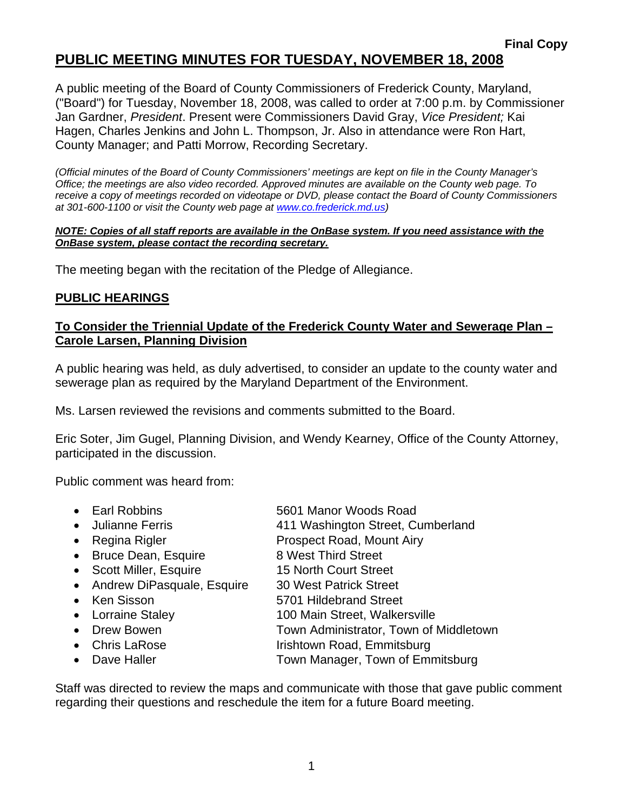# **PUBLIC MEETING MINUTES FOR TUESDAY, NOVEMBER 18, 2008**

A public meeting of the Board of County Commissioners of Frederick County, Maryland, ("Board") for Tuesday, November 18, 2008, was called to order at 7:00 p.m. by Commissioner Jan Gardner, *President*. Present were Commissioners David Gray, *Vice President;* Kai Hagen, Charles Jenkins and John L. Thompson, Jr. Also in attendance were Ron Hart, County Manager; and Patti Morrow, Recording Secretary.

*(Official minutes of the Board of County Commissioners' meetings are kept on file in the County Manager's Office; the meetings are also video recorded. Approved minutes are available on the County web page. To receive a copy of meetings recorded on videotape or DVD, please contact the Board of County Commissioners at 301-600-1100 or visit the County web page at www.co.frederick.md.us)* 

#### *NOTE: Copies of all staff reports are available in the OnBase system. If you need assistance with the OnBase system, please contact the recording secretary.*

The meeting began with the recitation of the Pledge of Allegiance.

## **PUBLIC HEARINGS**

### **To Consider the Triennial Update of the Frederick County Water and Sewerage Plan – Carole Larsen, Planning Division**

A public hearing was held, as duly advertised, to consider an update to the county water and sewerage plan as required by the Maryland Department of the Environment.

Ms. Larsen reviewed the revisions and comments submitted to the Board.

Eric Soter, Jim Gugel, Planning Division, and Wendy Kearney, Office of the County Attorney, participated in the discussion.

Public comment was heard from:

- Earl Robbins 5601 Manor Woods Road
- Julianne Ferris 411 Washington Street, Cumberland
- Regina Rigler **Prospect Road, Mount Airy**
- Bruce Dean, Esquire 8 West Third Street
- Scott Miller, Esquire 15 North Court Street
- Andrew DiPasquale, Esquire 30 West Patrick Street
- Ken Sisson 5701 Hildebrand Street
- Lorraine Staley 100 Main Street, Walkersville
- Drew Bowen **Town Administrator**, Town of Middletown
- Chris LaRose Irishtown Road, Emmitsburg
- Dave Haller Town Manager, Town of Emmitsburg
- Staff was directed to review the maps and communicate with those that gave public comment regarding their questions and reschedule the item for a future Board meeting.